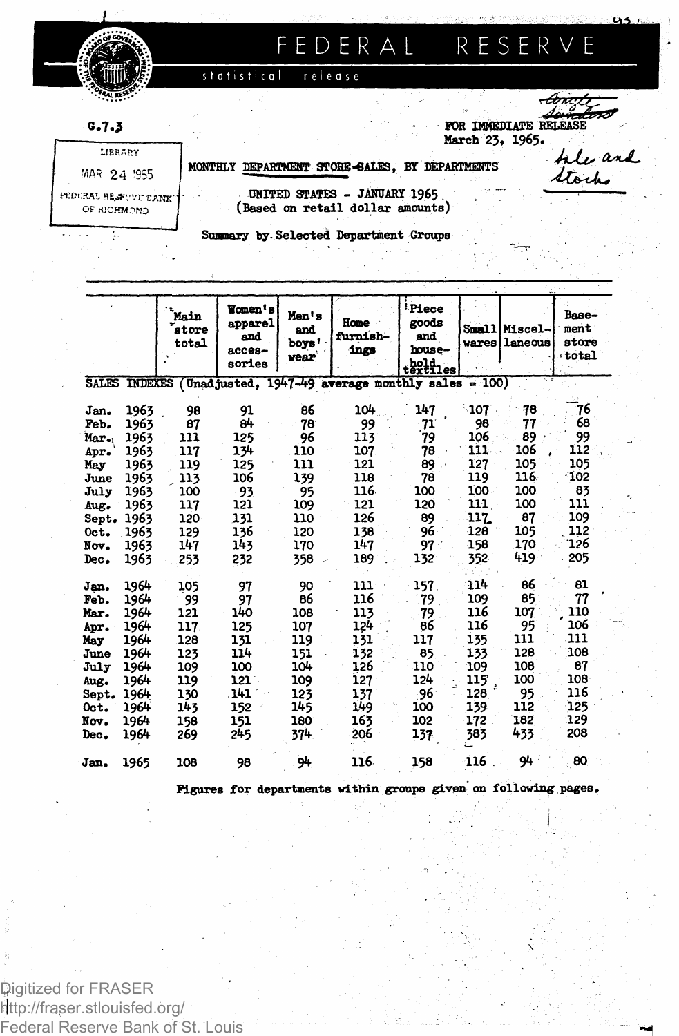

# FEDERAL RESERVE

release statistical

 $G.7.3$ 

FOR IMMEDIATE RELE March 23, 1965.

LIBRARY MAR 24 '955 FEDERAL HEofyvr VAtJK" OF RICHMOND

| MONTHLY DEPARTMENT STORE-6ALES, BY DEPARTMENTS

hle and Stocks

 $\overline{a}$ 

*riS&A-*

UNITED STATES - JANUARY 1965 . > — — (Baaed on retail dollar amounts)

Summary by Selected Department Groups

|                                                                                              |                                                                                              | Main<br>store<br>total                                                          | Women's<br>apparel<br>and<br>$acces-$<br>sories                                          | Men's<br>and<br>boys'<br>vear                                                  | Home<br>furnish-<br>ings                                                         | <b>Piece</b><br>goods<br>and<br>house-<br>$t$ ex $t$ iles                   | vares                                                                            | <b>Small Miscel-</b><br>laneous                                              | Base-<br>ment<br>store<br>total                                               |
|----------------------------------------------------------------------------------------------|----------------------------------------------------------------------------------------------|---------------------------------------------------------------------------------|------------------------------------------------------------------------------------------|--------------------------------------------------------------------------------|----------------------------------------------------------------------------------|-----------------------------------------------------------------------------|----------------------------------------------------------------------------------|------------------------------------------------------------------------------|-------------------------------------------------------------------------------|
|                                                                                              | <b>SALES INDEXES</b>                                                                         |                                                                                 |                                                                                          |                                                                                | (Unadjusted, $1947-49$ average monthly sales = 100)                              |                                                                             |                                                                                  |                                                                              |                                                                               |
| Jan.<br>Peb.<br>Mar.<br>Apr.<br>May<br>June<br>July<br>Aug.<br>Sept.<br>Oct.                 | 1963<br>1963<br>1963<br>1963<br>1963<br>1963<br>1963<br>1963<br>1963<br>1963                 | 98<br>87<br>111<br>117<br>119<br>113<br>100<br>117<br>120<br>129                | 91<br>a4<br>125<br>134<br>125<br>106<br>93<br>121<br>131<br>136                          | 86<br>78<br>96<br>110<br>111<br>139<br>95<br>109<br>110<br>120                 | 104<br>99<br>113<br>107<br>121<br>118<br>116.<br>121<br>126<br>138               | 147<br>-71<br>79<br>78<br>89<br>78<br>100<br>120<br>89<br>96                | ា07<br>98<br>106<br>111<br>127<br>119<br>100<br>111<br>117.<br>128               | 78<br>77<br>89<br>106<br>105<br>116<br>100<br>100<br>87<br>105               | 76<br>68<br>99<br>112<br>105<br>$^{\circ}102$<br>83<br>111<br>109<br>112      |
| Nov.<br>Dec.                                                                                 | 1963<br>1963                                                                                 | 147<br>253                                                                      | 143<br>232                                                                               | 170<br>358                                                                     | 147<br>189                                                                       | 97.<br>132                                                                  | 158<br>352                                                                       | 170<br>419                                                                   | '126<br>205                                                                   |
| Jan.<br>Feb.<br>Mar.<br>Apr.<br>May<br>June<br>July<br>Aug.<br>Sept.<br>Oct.<br>Nov.<br>Dec. | 1964<br>1964<br>1964<br>1964<br>1964<br>1964<br>1964<br>1964<br>1964<br>1964<br>1964<br>1964 | 105<br>99<br>121<br>117<br>128<br>123<br>109<br>119<br>130<br>143<br>158<br>269 | 97<br>97<br>140<br>125<br>131<br>114<br>100<br>$121^{\circ}$<br>141<br>152<br>151<br>245 | 90<br>86<br>108<br>107<br>119<br>151<br>104<br>109<br>123<br>145<br>180<br>374 | 111<br>116<br>113<br>124<br>131<br>132<br>126<br>127<br>137<br>149<br>163<br>206 | 157<br>79<br>79<br>86<br>117<br>85<br>110<br>124<br>96<br>100<br>102<br>137 | 114<br>109<br>116<br>116<br>135<br>133<br>109<br>115<br>128<br>139<br>172<br>383 | 86<br>85<br>107<br>95<br>111<br>128<br>108<br>100<br>95<br>112<br>182<br>433 | 81<br>77<br>110<br>106<br>111<br>108<br>87<br>108<br>116<br>125<br>129<br>208 |
| Jan.                                                                                         | 1965                                                                                         | 108                                                                             | 98                                                                                       | 94                                                                             | 116                                                                              | 158                                                                         | 116                                                                              | 94                                                                           | - 80                                                                          |
|                                                                                              |                                                                                              |                                                                                 |                                                                                          |                                                                                | Figures for departments within groups given on following pages.                  |                                                                             |                                                                                  |                                                                              |                                                                               |

Digitized for FRASER http://fraser.stlouisfed.org/ Federal Reserve Bank of St. Louis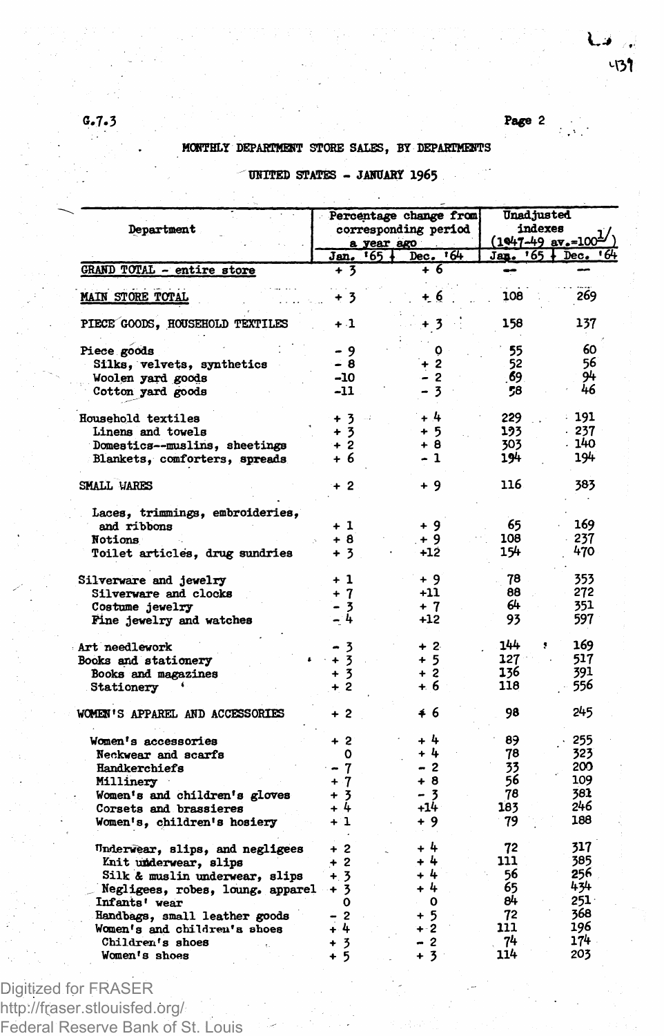## MONTHLY DEPARTMENT STORE SALES, BY DEPARTMENTS

|  |  |  | UNITED STATES - JANUARY 1965 |  |  |
|--|--|--|------------------------------|--|--|
|--|--|--|------------------------------|--|--|

| Department                                       |                                 | Percentage change from<br>corresponding period | Unad justed<br>indexes<br>$\frac{(1047-49 \text{ av} - 100^{\frac{1}{2}})}{400}$ |            |  |
|--------------------------------------------------|---------------------------------|------------------------------------------------|----------------------------------------------------------------------------------|------------|--|
|                                                  | a year ago<br><b>Jan. '65</b> . | 16-<br>Dec.                                    | $Jap. 765 +$                                                                     | +6<br>Dec. |  |
| GRAND TOTAL - entire store                       | + 3                             | + 6                                            |                                                                                  |            |  |
| <b>MAIN STORE TOTAL</b>                          | + 3                             | + 6                                            | 108                                                                              | 269        |  |
| PIECE GOODS, HOUSEHOLD TEXTILES                  | $+1$                            | + 3                                            | 158                                                                              | 137        |  |
| Piece goods                                      | - 9                             | ٥                                              | 55                                                                               | 60         |  |
| Silks, velvets, synthetics                       | - 8                             | $\overline{2}$                                 | 52                                                                               | 56         |  |
| Woolen yard goods                                | -10                             | - 2                                            | -69                                                                              | 94         |  |
| Cotton yard goods                                | -11                             | $\overline{\mathbf{3}}$                        | 58                                                                               | 46         |  |
| Household textiles                               | $+3$                            | - 4                                            | 229                                                                              | : 191      |  |
| Linens and towels                                | + 3                             | + 5                                            | 193                                                                              | $-237$     |  |
| Domestics--muslins, sheetings                    | $+2$                            | + 8                                            | 303                                                                              | - 140      |  |
| Blankets, comforters, spreads                    | + 6                             | - 1                                            | 194                                                                              | 194        |  |
| SMALL VARES                                      | + 2                             | + 9                                            | 116                                                                              | 383        |  |
| Laces, trimmings, embroideries,                  |                                 |                                                |                                                                                  |            |  |
| and ribbons                                      | + 1                             | + 9                                            | 65                                                                               | 169        |  |
| Notions                                          | + 8                             | + 9                                            | 108                                                                              | 237        |  |
| Toilet articles, drug sundries                   | + 3                             | -12                                            | 154                                                                              | 470        |  |
| Silverware and jewelry                           | + 1                             | + 9                                            | 78                                                                               | 353        |  |
| Silverware and clocks                            | $+7$                            | +11                                            | 88                                                                               | 272        |  |
| Costume jewelry<br>Fine jewelry and watches      | - 3<br>- 4                      | + 7<br>$+12$                                   | 64<br>93                                                                         | 351<br>597 |  |
| Art needlework                                   |                                 | $+2$                                           | 144                                                                              | 169        |  |
| Books and stationery                             | 3<br>$+3$                       | + 5                                            | $127 -$                                                                          | 517        |  |
| Books and magazines                              | $+3$                            | $+2$                                           | 136                                                                              | 391        |  |
| Stationery                                       | $+2$                            | + 6                                            | 118                                                                              | 556        |  |
|                                                  |                                 |                                                |                                                                                  |            |  |
| WOMEN'S APPAREL AND ACCESSORIES                  | $+2$                            | ≰6                                             | 98                                                                               | 245        |  |
| Women's accessories                              | $+2$                            | - 4                                            | 89                                                                               | 255        |  |
| Neckwear and scarfs                              | o                               | + 4                                            | 78                                                                               | 323        |  |
| Handkerchiefs                                    | 7                               | - 2                                            | 33                                                                               | 200        |  |
| Millinery                                        | + 7                             | + 8                                            | 56                                                                               | 109        |  |
| Women's and children's gloves                    | $\overline{\mathbf{3}}$         | - 3                                            | 78                                                                               | 381        |  |
| Corsets and brassieres                           | $\frac{1}{2}$                   | $+14$                                          | 183                                                                              | 246        |  |
| Women's, children's hosiery                      | $+1$                            | + 9                                            | 79                                                                               | 188        |  |
| Underwear, slips, and negligees                  | + 2                             | + 4                                            | 72                                                                               | 317        |  |
| Knit underwear, slips                            | $\overline{\mathbf{2}}$         | 4                                              | 111                                                                              | 385        |  |
| Silk & muslin underwear, slips                   | $+3$                            | 4                                              | 56                                                                               | 256        |  |
| Negligees, robes, loung, apparel                 | 3<br>$\cdot$                    | + 4                                            | 65                                                                               | 434<br>251 |  |
| Infants' wear                                    | 0                               | O                                              | 84                                                                               | 368        |  |
| Handbags, small leather goods                    | 2<br>$+4$                       | $+5$<br>$+2$                                   | 72<br>111                                                                        | 196        |  |
| Women's and children's shoes<br>Children's shoes | $\overline{\mathbf{3}}$<br>÷    | $\overline{c}$                                 | 74                                                                               | 174        |  |
| Women's shoes                                    | 5<br>÷                          | + 3                                            | 114                                                                              | 203        |  |
|                                                  |                                 |                                                |                                                                                  |            |  |

Digitized for FRASER http://fraser.stlouisfed.org/ Federal Reserve Bank of St. Louis

#### **G.7.3** Page 2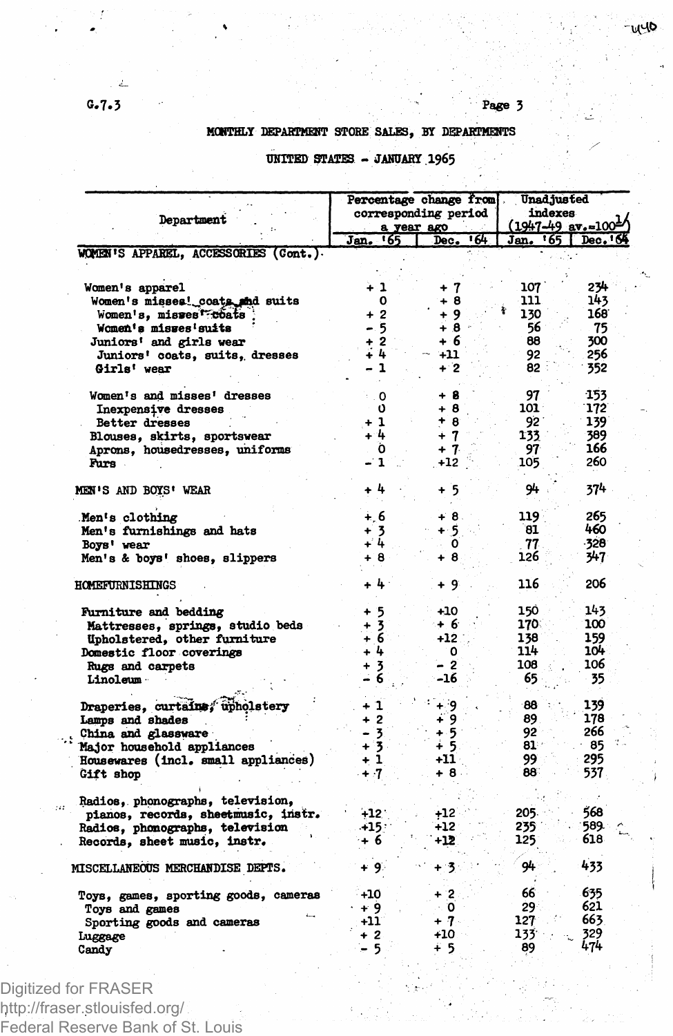# Page 3

### MONTHLY DEPARTMENT STORE SALES, BY DEPARTMENTS

|                                       |                                                                  | Percentage change from | Unad justed<br>indexes |                                 |  |
|---------------------------------------|------------------------------------------------------------------|------------------------|------------------------|---------------------------------|--|
|                                       |                                                                  | corresponding period   |                        |                                 |  |
| Department                            |                                                                  | a year ago             |                        | $(1947-49$ av.-100 <sup>1</sup> |  |
|                                       | Jan. 165                                                         | ৰে।<br>Dec.            | Jan. '65               | Dec. 6                          |  |
| WOMEN'S APPAREL, ACCESSORIES (Cont.). |                                                                  |                        |                        |                                 |  |
|                                       |                                                                  |                        |                        |                                 |  |
| Women's apparel                       | $+1$                                                             | + 7                    | 107                    | 234                             |  |
| Women's misses! coats and suits       | 0                                                                | + 8                    | 111                    | 143                             |  |
| Women's, misses <sup>f-coats</sup>    | $+2$                                                             | + 9                    | 130                    | 168                             |  |
| Women's misses suits                  | - 5                                                              | $+8$                   | 56                     | 75                              |  |
| Juniors' and girls wear               | $\overline{\mathbf{2}}$<br>$\begin{array}{c} 2 \\ 4 \end{array}$ | + 6<br>$+11$           | 88<br>92               | 300                             |  |
| Juniors' coats, suits, dresses        | $\mathbf{1}$                                                     | $+2$                   | 82                     | 256                             |  |
| Girls' wear                           |                                                                  |                        |                        | 352                             |  |
| Women's and misses' dresses           | $\cdot$ . O                                                      | + 8                    | 97                     | -153                            |  |
| Inexpensive dresses                   | Ú                                                                | + 8                    | 101.                   | 172                             |  |
| Better dresses                        | $+1$                                                             | $+8$                   | 92                     | 139                             |  |
| Blouses, skirts, sportswear           | 44                                                               | $+7$                   | 133                    | 389                             |  |
| Aprons, housedresses, uniforms        | Ò                                                                | $+7$                   | 97                     | 166                             |  |
| Furs.                                 | - 1                                                              | $+12$                  | 105                    | 260                             |  |
| MEN'S AND BOYS' WEAR                  | + 4                                                              | + 5                    | 94                     | 374                             |  |
| Men's clothing                        | $+.6$                                                            | $+8.$                  | 119                    | 265                             |  |
| Men's furnishings and hats            | $\overline{\mathbf{3}}$                                          | $+5$                   | 81                     | 460                             |  |
| Boys' wear                            | + 4                                                              | ٥                      | 77                     | -328                            |  |
| Men's & boys' shoes, slippers         | + 8                                                              | + 8                    | 126                    | 347                             |  |
| HOMEFURNISHINGS                       | + 4                                                              | + 9                    | 116                    | 206                             |  |
| <b>Furniture and bedding</b>          | -5<br>۰                                                          | $+10$                  | 150                    | 143                             |  |
| Mattresses, springs, studio beds      |                                                                  | + 6                    | 170.                   | 100                             |  |
| Upholstered, other furniture          | $\frac{1}{1}$ $\frac{3}{6}$                                      | +12                    | 138                    | 159                             |  |
| Domestic floor coverings              | $+4$                                                             | о                      | 114                    | 104                             |  |
| Rugs and carpets                      | -3<br>÷                                                          | - 2                    | 108                    | 106                             |  |
| Linoleum                              | 6                                                                | -16                    | 65                     | 35                              |  |
|                                       |                                                                  |                        |                        |                                 |  |
| Draperies, curtains, upholstery       | + 1                                                              | ∔ 9                    | 88                     | 139                             |  |
| Lamps and shades                      | $\overline{2}$<br>÷                                              | ∔`9                    | 89                     | 178                             |  |
| China and glassware                   | 3                                                                | + 5                    | 92                     | 266                             |  |
| Major household appliances            | $\overline{\mathbf{3}}$<br>÷                                     | + 5                    | 81                     | 85                              |  |
| Housewares (incl. small appliances)   | ÷<br>1                                                           | +11                    | 99.                    | 295                             |  |
| Gift shop                             | $+7$                                                             | + 8                    | 88                     | 537                             |  |
| Radios, phonographs, television,      |                                                                  |                        |                        |                                 |  |
| pianos, records, sheetmusic, instr.   | $+12$                                                            | $+12$                  | 205.                   | 568                             |  |
| Radios, phonographs, television       | $+15$                                                            | +12                    | 235.                   | 589.                            |  |
| Records, sheet music, instr.          | + 6                                                              | +12                    | 125                    | 618                             |  |
| MISCELLANEOUS MERCHANDISE DEPTS.      | + 9⊱                                                             | + 3                    | 94.                    | 433                             |  |
| Toys, games, sporting goods, cameras  | $+10$                                                            | + 2                    | 66                     | 635                             |  |
| Toys and games                        | + 9                                                              | о                      | 29                     | 621                             |  |
| Sporting goods and cameras            | +11                                                              | + 7                    | 127                    | 663                             |  |
| Luggage                               | $+2$                                                             | $+10$                  | 133                    | 329                             |  |
| Candy                                 | - 5                                                              | ∔ 5                    | 89                     | 474                             |  |

UNITED STATES - JANUARY 1965

Digitized for FRASER http://fraser.stlouisfed.org/ Federal Reserve Bank of St. Louis

ga.